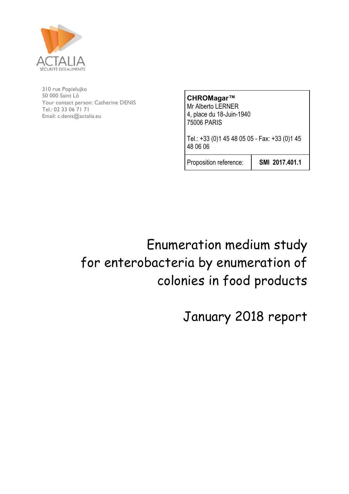

50 000 Saint Lô<br> **CHROMagar™** 310 rue Popielujko Your contact person: Catherine DENIS Tel.: 02 33 06 71 71 Email: c.denis@actalia.eu

Mr Alberto LERNER 4, place du 18-Juin-1940 75006 PARIS

Tel.: +33 (0)1 45 48 05 05 - Fax: +33 (0)1 45 48 06 06

Proposition reference: **SMI 2017.401.1**

Enumeration medium study for enterobacteria by enumeration of colonies in food products

January 2018 report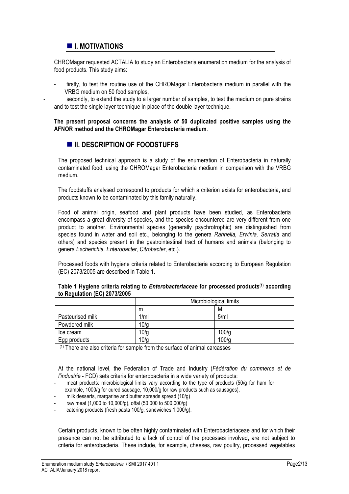## $\blacksquare$  **I. MOTIVATIONS**

CHROMagar requested ACTALIA to study an Enterobacteria enumeration medium for the analysis of food products. This study aims:

firstly, to test the routine use of the CHROMagar Enterobacteria medium in parallel with the VRBG medium on 50 food samples,

secondly, to extend the study to a larger number of samples, to test the medium on pure strains and to test the single layer technique in place of the double layer technique.

### **The present proposal concerns the analysis of 50 duplicated positive samples using the AFNOR method and the CHROMagar Enterobacteria medium**.

## $\blacksquare$  **II. DESCRIPTION OF FOODSTUFFS**

The proposed technical approach is a study of the enumeration of Enterobacteria in naturally contaminated food, using the CHROMagar Enterobacteria medium in comparison with the VRBG medium.

The foodstuffs analysed correspond to products for which a criterion exists for enterobacteria, and products known to be contaminated by this family naturally.

Food of animal origin, seafood and plant products have been studied, as Enterobacteria encompass a great diversity of species, and the species encountered are very different from one product to another. Environmental species (generally psychrotrophic) are distinguished from species found in water and soil etc., belonging to the genera *Rahnella, Erwinia, Serratia* and others) and species present in the gastrointestinal tract of humans and animals (belonging to genera *Escherichia, Enterobacter, Citrobacter*, etc.).

Processed foods with hygiene criteria related to Enterobacteria according to European Regulation (EC) 2073/2005 are described in Table 1.

|                  |      | Microbiological limits |  |  |
|------------------|------|------------------------|--|--|
|                  | m    | M                      |  |  |
| Pasteurised milk | 1/ml | 5/ml                   |  |  |
| Powdered milk    | 10/g |                        |  |  |
| Ice cream        | 10/g | 100/q                  |  |  |
| Egg products     | 10/g | 100/g                  |  |  |

### **Table 1 Hygiene criteria relating to** *Enterobacteriaceae* **for processed products(1) according to Regulation (EC) 2073/2005**

(1) There are also criteria for sample from the surface of animal carcasses

At the national level, the Federation of Trade and Industry (*Fédération du commerce et de l'industrie* - FCD) sets criteria for enterobacteria in a wide variety of products:

- meat products: microbiological limits vary according to the type of products (50/g for ham for example, 1000/g for cured sausage, 10,000/g for raw products such as sausages),
- milk desserts, margarine and butter spreads spread (10/g)
- raw meat (1,000 to 10,000/g), offal (50,000 to 500,000/g)
- catering products (fresh pasta 100/g, sandwiches 1,000/g).

Certain products, known to be often highly contaminated with Enterobacteriaceae and for which their presence can not be attributed to a lack of control of the processes involved, are not subject to criteria for enterobacteria. These include, for example, cheeses, raw poultry, processed vegetables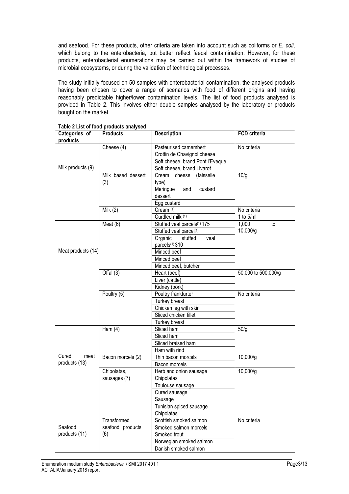and seafood. For these products, other criteria are taken into account such as coliforms or *E. coli*, which belong to the enterobacteria, but better reflect faecal contamination. However, for these products, enterobacterial enumerations may be carried out within the framework of studies of microbial ecosystems, or during the validation of technological processes.

The study initially focused on 50 samples with enterobacterial contamination, the analysed products having been chosen to cover a range of scenarios with food of different origins and having reasonably predictable higher/lower contamination levels. The list of food products analysed is provided in Table 2. This involves either double samples analysed by the laboratory or products bought on the market.

| Categories of<br>products | <b>Products</b>    | <b>Description</b>                      | <b>FCD</b> criteria |
|---------------------------|--------------------|-----------------------------------------|---------------------|
|                           | Cheese (4)         | Pasteurised camembert                   | No criteria         |
|                           |                    | Crottin de Chavignol cheese             |                     |
|                           |                    | Soft cheese, brand Pont l'Eveque        |                     |
| Milk products (9)         |                    | Soft cheese, brand Livarot              |                     |
|                           | Milk based dessert | Cream cheese<br>(faisselle              | 10/q                |
|                           | (3)                | type)                                   |                     |
|                           |                    | Meringue<br>and<br>custard              |                     |
|                           |                    | dessert                                 |                     |
|                           |                    | Egg custard                             |                     |
|                           | Milk $(2)$         | Cream (1)                               | No criteria         |
|                           |                    | Curdled milk (1)                        | 1 to $5$ /ml        |
|                           | Meat $(6)$         | Stuffed veal parcels <sup>(1)</sup> 175 | 1,000<br>to         |
|                           |                    | Stuffed veal parcel(1)                  | 10,000/g            |
|                           |                    | Organic<br>stuffed<br>veal              |                     |
|                           |                    | parcels <sup>(1)</sup> 310              |                     |
| Meat products (14)        |                    | Minced beef                             |                     |
|                           |                    | Minced beef                             |                     |
|                           |                    | Minced beef, butcher                    |                     |
|                           | Offal $(3)$        | Heart (beef)                            | 50,000 to 500,000/g |
|                           |                    | Liver (cattle)                          |                     |
|                           |                    | Kidney (pork)                           |                     |
|                           | Poultry (5)        | Poultry frankfurter                     | No criteria         |
|                           | Turkey breast      |                                         |                     |
|                           |                    | Chicken leg with skin                   |                     |
|                           |                    | Sliced chicken fillet                   |                     |
|                           |                    | Turkey breast                           |                     |
|                           | Ham $(4)$          | Sliced ham                              | 50/q                |
|                           |                    | Sliced ham                              |                     |
|                           |                    | Sliced braised ham                      |                     |
|                           |                    | Ham with rind                           |                     |
| Cured<br>meat             | Bacon morcels (2)  | Thin bacon morcels                      | 10,000/g            |
| products (13)             |                    | Bacon morcels                           |                     |
|                           | Chipolatas,        | Herb and onion sausage                  | 10,000/g            |
|                           | sausages (7)       | Chipolatas                              |                     |
|                           |                    | Toulouse sausage                        |                     |
|                           |                    | Cured sausage                           |                     |
|                           |                    | Sausage                                 |                     |
|                           |                    | Tunisian spiced sausage                 |                     |
|                           |                    | Chipolatas                              |                     |
|                           | Transformed        | Scottish smoked salmon                  | No criteria         |
| Seafood                   | seafood products   | Smoked salmon morcels                   |                     |
| products (11)             | (6)                | Smoked trout                            |                     |
|                           |                    | Norwegian smoked salmon                 |                     |
|                           |                    | Danish smoked salmon                    |                     |

**Table 2 List of food products analysed**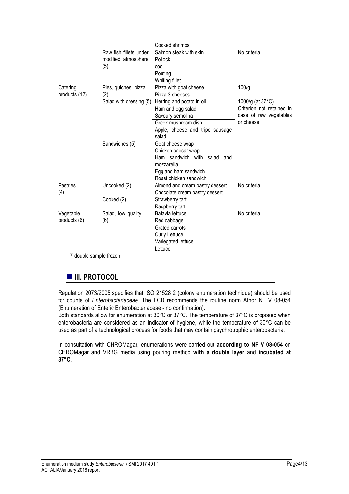|               |                         | Cooked shrimps                  |                           |  |
|---------------|-------------------------|---------------------------------|---------------------------|--|
|               | Raw fish fillets under  | Salmon steak with skin          | No criteria               |  |
|               | modified atmosphere     | Pollock                         |                           |  |
|               | (5)                     | cod                             |                           |  |
|               |                         | Pouting                         |                           |  |
|               |                         | Whiting fillet                  |                           |  |
| Catering      | Pies, quiches, pizza    | Pizza with goat cheese          | 100/q                     |  |
| products (12) | (2)                     | Pizza 3 cheeses                 |                           |  |
|               | Salad with dressing (5) | Herring and potato in oil       | 1000/g (at 37°C)          |  |
|               |                         | Ham and egg salad               | Criterion not retained in |  |
|               |                         | Savoury semolina                | case of raw vegetables    |  |
|               |                         | Greek mushroom dish             | or cheese                 |  |
|               |                         | Apple, cheese and tripe sausage |                           |  |
|               |                         | salad                           |                           |  |
|               | Sandwiches (5)          | Goat cheese wrap                |                           |  |
|               |                         | Chicken caesar wrap             |                           |  |
|               |                         | Ham sandwich with salad and     |                           |  |
|               |                         | mozzarella                      |                           |  |
|               |                         | Egg and ham sandwich            |                           |  |
|               |                         | Roast chicken sandwich          |                           |  |
| Pastries      | Uncooked (2)            | Almond and cream pastry dessert | No criteria               |  |
| (4)           |                         | Chocolate cream pastry dessert  |                           |  |
|               | Cooked (2)              | Strawberry tart                 |                           |  |
|               |                         | Raspberry tart                  |                           |  |
| Vegetable     | Salad, low quality      | Batavia lettuce                 | No criteria               |  |
| products (6)  | (6)                     | Red cabbage                     |                           |  |
|               |                         | Grated carrots                  |                           |  |
|               |                         | <b>Curly Lettuce</b>            |                           |  |
|               |                         | Variegated lettuce              |                           |  |
|               |                         | Lettuce                         |                           |  |

(1) double sample frozen

# $\blacksquare$  **III. PROTOCOL**

Regulation 2073/2005 specifies that ISO 21528 2 (colony enumeration technique) should be used for counts of *Enterobacteriaceae*. The FCD recommends the routine norm Afnor NF V 08-054 (Enumeration of Enteric Enterobacteriaceae - no confirmation).

Both standards allow for enumeration at 30°C or 37°C. The temperature of 37°C is proposed when enterobacteria are considered as an indicator of hygiene, while the temperature of 30°C can be used as part of a technological process for foods that may contain psychrotrophic enterobacteria.

In consultation with CHROMagar, enumerations were carried out **according to NF V 08-054** on CHROMagar and VRBG media using pouring method **with a double layer** and **incubated at 37°C**.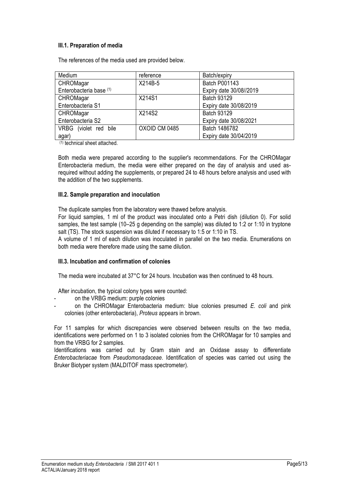## **III.1. Preparation of media**

The references of the media used are provided below.

| Medium                  | reference     | Batch/expiry            |
|-------------------------|---------------|-------------------------|
| CHROMagar               | X214B-5       | <b>Batch P001143</b>    |
| Enterobacteria base (1) |               | Expiry date 30/08//2019 |
| CHROMagar               | X214S1        | <b>Batch 93129</b>      |
| Enterobacteria S1       |               | Expiry date 30/08/2019  |
| CHROMagar               | X214S2        | <b>Batch 93129</b>      |
| Enterobacteria S2       |               | Expiry date 30/08/2021  |
| VRBG (violet red bile   | OXOID CM 0485 | Batch 1486782           |
| agar)                   |               | Expiry date 30/04/2019  |

(1) technical sheet attached.

Both media were prepared according to the supplier's recommendations. For the CHROMagar Enterobacteria medium, the media were either prepared on the day of analysis and used asrequired without adding the supplements, or prepared 24 to 48 hours before analysis and used with the addition of the two supplements.

### **III.2. Sample preparation and inoculation**

The duplicate samples from the laboratory were thawed before analysis.

For liquid samples, 1 ml of the product was inoculated onto a Petri dish (dilution 0). For solid samples, the test sample (10–25 g depending on the sample) was diluted to 1:2 or 1:10 in tryptone salt (TS). The stock suspension was diluted if necessary to 1:5 or 1:10 in TS.

A volume of 1 ml of each dilution was inoculated in parallel on the two media. Enumerations on both media were therefore made using the same dilution.

### **III.3. Incubation and confirmation of colonies**

The media were incubated at 37°C for 24 hours. Incubation was then continued to 48 hours.

After incubation, the typical colony types were counted:

- on the VRBG medium: purple colonies
- on the CHROMagar Enterobacteria medium: blue colonies presumed *E. coli* and pink colonies (other enterobacteria), *Proteus* appears in brown.

For 11 samples for which discrepancies were observed between results on the two media, identifications were performed on 1 to 3 isolated colonies from the CHROMagar for 10 samples and from the VRBG for 2 samples.

Identifications was carried out by Gram stain and an Oxidase assay to differentiate *Enterobacteriacae* from *Pseudomonadaceae*. Identification of species was carried out using the Bruker Biotyper system (MALDITOF mass spectrometer).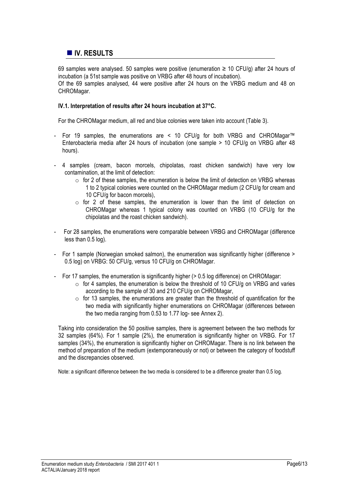# ! **IV. RESULTS**

69 samples were analysed. 50 samples were positive (enumeration ≥ 10 CFU/g) after 24 hours of incubation (a 51st sample was positive on VRBG after 48 hours of incubation). Of the 69 samples analysed, 44 were positive after 24 hours on the VRBG medium and 48 on CHROMagar.

### **IV.1. Interpretation of results after 24 hours incubation at 37°C.**

For the CHROMagar medium, all red and blue colonies were taken into account (Table 3).

- For 19 samples, the enumerations are < 10 CFU/g for both VRBG and CHROMagar™ Enterobacteria media after 24 hours of incubation (one sample > 10 CFU/g on VRBG after 48 hours).
- 4 samples (cream, bacon morcels, chipolatas, roast chicken sandwich) have very low contamination, at the limit of detection:
	- o for 2 of these samples, the enumeration is below the limit of detection on VRBG whereas 1 to 2 typical colonies were counted on the CHROMagar medium (2 CFU/g for cream and 10 CFU/g for bacon morcels),
	- $\circ$  for 2 of these samples, the enumeration is lower than the limit of detection on CHROMagar whereas 1 typical colony was counted on VRBG (10 CFU/g for the chipolatas and the roast chicken sandwich).
- For 28 samples, the enumerations were comparable between VRBG and CHROMagar (difference less than 0.5 log).
- For 1 sample (Norwegian smoked salmon), the enumeration was significantly higher (difference > 0.5 log) on VRBG: 50 CFU/g, versus 10 CFU/g on CHROMagar.
- For 17 samples, the enumeration is significantly higher (> 0.5 log difference) on CHROMagar:
	- $\circ$  for 4 samples, the enumeration is below the threshold of 10 CFU/g on VRBG and varies according to the sample of 30 and 210 CFU/g on CHROMagar,
	- $\circ$  for 13 samples, the enumerations are greater than the threshold of quantification for the two media with significantly higher enumerations on CHROMagar (differences between the two media ranging from 0.53 to 1.77 log- see Annex 2).

Taking into consideration the 50 positive samples, there is agreement between the two methods for 32 samples (64%). For 1 sample (2%), the enumeration is significantly higher on VRBG. For 17 samples (34%), the enumeration is significantly higher on CHROMagar. There is no link between the method of preparation of the medium (extemporaneously or not) or between the category of foodstuff and the discrepancies observed.

Note: a significant difference between the two media is considered to be a difference greater than 0.5 log.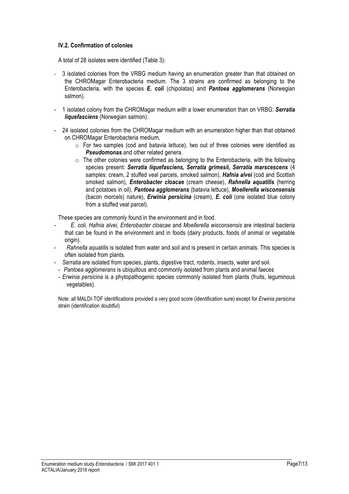## **IV.2. Confirmation of colonies**

A total of 28 isolates were identified (Table 3):

- 3 isolated colonies from the VRBG medium having an enumeration greater than that obtained on the CHROMagar Enterobacteria medium. The 3 strains are confirmed as belonging to the Enterobacteria, with the species *E. coli* (chipolatas) and *Pantoea agglomerans* (Norwegian salmon).
- 1 isolated colony from the CHROMagar medium with a lower enumeration than on VRBG: *Serratia liquefasciens* (Norwegian salmon).
- 24 isolated colonies from the CHROMagar medium with an enumeration higher than that obtained on CHROMagar Enterobacteria medium,
	- $\circ$  For two samples (cod and batavia lettuce), two out of three colonies were identified as **Pseudomonas** and other related genera.
	- $\circ$  The other colonies were confirmed as belonging to the Enterobacteria, with the following species present: *Serratia liquefasciens, Serratia grimesii, Serratia marscescens* (4 samples: cream, 2 stuffed veal parcels, smoked salmon), *Hafnia alvei* (cod and Scottish smoked salmon), *Enterobacter cloacae* (cream cheese), *Rahnella aquatilis* (herring and potatoes in oil), *Pantoea agglomerans* (batavia lettuce), *Moellerella wisconsensis* (bacon morcels) nature), *Erwinia persicina* (cream), *E. coli* (one isolated blue colony from a stuffed veal parcel).

These species are commonly found in the environment and in food.

- *E. coli, Hafnia alvei, Enterobacter cloacae* and *Moellerella wisconsensis* are intestinal bacteria that can be found in the environment and in foods (dairy products, foods of animal or vegetable origin).
- *Rahnella aquatilis* is isolated from water and soil and is present in certain animals. This species is often isolated from plants.
- *Serratia* are isolated from species, plants, digestive tract, rodents, insects, water and soil.
	- *Pantoea agglomerans* is ubiquitous and commonly isolated from plants and animal faeces
	- *Erwinia persicina* is a phytopathogenic species commonly isolated from plants (fruits, leguminous vegetables).

Note: all MALDI-TOF identifications provided a very good score (identification sure) except for *Erwinia persicina* strain (identification doubtful)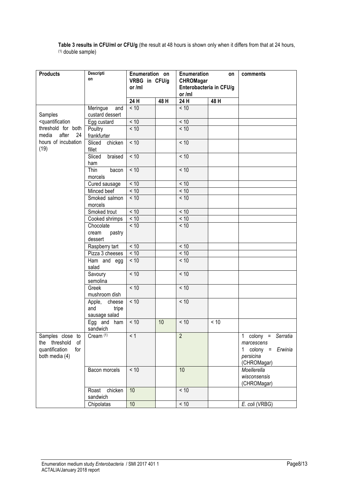**Table 3 results in CFU/ml or CFU/g** (the result at 48 hours is shown only when it differs from that at 24 hours, (1) double sample)

| <b>Products</b>                                                                                                                                       | <b>Descripti</b><br>on   | Enumeration on<br>VRBG in CFU/g<br>or /ml |     | Enumeration<br><b>CHROMagar</b><br>Enterobacteria in CFU/g<br>or /ml | on   | comments                |
|-------------------------------------------------------------------------------------------------------------------------------------------------------|--------------------------|-------------------------------------------|-----|----------------------------------------------------------------------|------|-------------------------|
|                                                                                                                                                       |                          | 24 H                                      | 48H | 24 H                                                                 | 48 H |                         |
|                                                                                                                                                       | Meringue<br>and          | < 10                                      |     | < 10                                                                 |      |                         |
| Samples                                                                                                                                               | custard dessert          |                                           |     |                                                                      |      |                         |
| <quantification< td=""><td>Egg custard</td><td><math display="inline">&lt;10</math></td><td></td><td>&lt; 10</td><td></td><td></td></quantification<> | Egg custard              | $<10$                                     |     | < 10                                                                 |      |                         |
| threshold for both                                                                                                                                    | Poultry                  | < 10                                      |     | < 10                                                                 |      |                         |
| after<br>media<br>24                                                                                                                                  | frankfurter              |                                           |     |                                                                      |      |                         |
| hours of incubation                                                                                                                                   | Sliced<br>chicken        | < 10                                      |     | < 10                                                                 |      |                         |
| (19)                                                                                                                                                  | fillet                   |                                           |     |                                                                      |      |                         |
|                                                                                                                                                       | Sliced<br>braised        | < 10                                      |     | < 10                                                                 |      |                         |
|                                                                                                                                                       | ham                      |                                           |     |                                                                      |      |                         |
|                                                                                                                                                       | Thin<br>bacon            | $<10$                                     |     | < 10                                                                 |      |                         |
|                                                                                                                                                       | morcels                  |                                           |     |                                                                      |      |                         |
|                                                                                                                                                       | Cured sausage            | < 10                                      |     | < 10                                                                 |      |                         |
|                                                                                                                                                       | Minced beef              | < 10                                      |     | < 10                                                                 |      |                         |
|                                                                                                                                                       | Smoked salmon            | < 10                                      |     | < 10                                                                 |      |                         |
|                                                                                                                                                       | morcels                  |                                           |     |                                                                      |      |                         |
|                                                                                                                                                       | Smoked trout             | $<10$                                     |     | < 10                                                                 |      |                         |
|                                                                                                                                                       | Cooked shrimps           | $<10$                                     |     | < 10                                                                 |      |                         |
|                                                                                                                                                       | Chocolate                | < 10                                      |     | < 10                                                                 |      |                         |
|                                                                                                                                                       | cream<br>pastry          |                                           |     |                                                                      |      |                         |
|                                                                                                                                                       | dessert                  |                                           |     |                                                                      |      |                         |
|                                                                                                                                                       | Raspberry tart           | < 10                                      |     | < 10                                                                 |      |                         |
|                                                                                                                                                       | Pizza 3 cheeses          | < 10                                      |     | < 10                                                                 |      |                         |
|                                                                                                                                                       | $\overline{Ham}$ and egg | < 10                                      |     | < 10                                                                 |      |                         |
|                                                                                                                                                       | salad                    |                                           |     |                                                                      |      |                         |
|                                                                                                                                                       | Savoury                  | < 10                                      |     | < 10                                                                 |      |                         |
|                                                                                                                                                       | semolina                 |                                           |     |                                                                      |      |                         |
|                                                                                                                                                       | Greek                    | < 10                                      |     | < 10                                                                 |      |                         |
|                                                                                                                                                       | mushroom dish            |                                           |     |                                                                      |      |                         |
|                                                                                                                                                       | Apple,<br>cheese         | $<10$                                     |     | < 10                                                                 |      |                         |
|                                                                                                                                                       | and<br>tripe             |                                           |     |                                                                      |      |                         |
|                                                                                                                                                       | sausage salad            |                                           |     |                                                                      |      |                         |
|                                                                                                                                                       | Egg and ham              | $<10$                                     | 10  | < 10                                                                 | < 10 |                         |
|                                                                                                                                                       | sandwich                 |                                           |     |                                                                      |      |                         |
| Samples close to                                                                                                                                      | Cream <sup>(1)</sup>     | < 1                                       |     | $\overline{2}$                                                       |      | 1 colony = Serratia     |
| the threshold<br>of                                                                                                                                   |                          |                                           |     |                                                                      |      | marcescens              |
| quantification<br>for                                                                                                                                 |                          |                                           |     |                                                                      |      | 1 colony $=$<br>Erwinia |
| both media (4)                                                                                                                                        |                          |                                           |     |                                                                      |      | persicina               |
|                                                                                                                                                       |                          |                                           |     |                                                                      |      | (CHROMagar)             |
|                                                                                                                                                       | Bacon morcels            | $<10$                                     |     | 10                                                                   |      | Moellerella             |
|                                                                                                                                                       |                          |                                           |     |                                                                      |      | wisconsensis            |
|                                                                                                                                                       |                          |                                           |     |                                                                      |      | (CHROMagar)             |
|                                                                                                                                                       | chicken<br>Roast         | 10                                        |     | < 10                                                                 |      |                         |
|                                                                                                                                                       | sandwich                 |                                           |     |                                                                      |      | E. coli (VRBG)          |
|                                                                                                                                                       | Chipolatas               | 10                                        |     | $<10$                                                                |      |                         |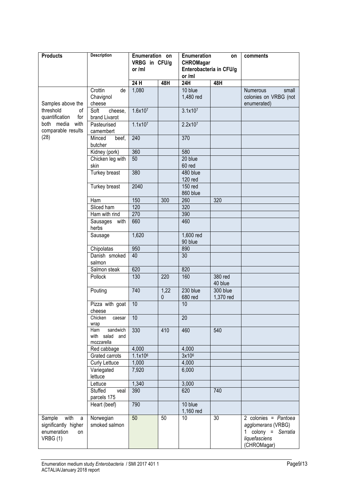| <b>Products</b>                                                             | <b>Description</b>                              | Enumeration on<br>VRBG in CFU/g<br>or /ml |                      | Enumeration<br><b>CHROMagar</b><br>Enterobacteria in CFU/g<br>or /ml | on                    | comments                                                                                               |  |
|-----------------------------------------------------------------------------|-------------------------------------------------|-------------------------------------------|----------------------|----------------------------------------------------------------------|-----------------------|--------------------------------------------------------------------------------------------------------|--|
|                                                                             |                                                 | 24 H                                      | 48H                  | 24H                                                                  | 48H                   |                                                                                                        |  |
| Samples above the                                                           | Crottin<br>de<br>Chavignol<br>cheese            | 1,080                                     |                      | 10 blue<br>1,480 red                                                 |                       | small<br><b>Numerous</b><br>colonies on VRBG (not<br>enumerated)                                       |  |
| threshold<br>of<br>quantification<br>for                                    | Soft<br>cheese,<br>brand Livarot                | 1.6x107                                   |                      | 3.1x107                                                              |                       |                                                                                                        |  |
| both media<br>with<br>comparable results                                    | Pasteurised<br>camembert                        | 1.1x107                                   |                      | 2.2x107                                                              |                       |                                                                                                        |  |
| (28)                                                                        | Minced<br>beef,<br>butcher                      | 240                                       |                      | 370                                                                  |                       |                                                                                                        |  |
|                                                                             | Kidney (pork)                                   | 360                                       |                      | 580                                                                  |                       |                                                                                                        |  |
|                                                                             | Chicken leg with<br>skin                        | 50                                        |                      | 20 blue<br>60 red                                                    |                       |                                                                                                        |  |
|                                                                             | Turkey breast                                   | 380                                       |                      | $480$ blue<br><b>120 red</b>                                         |                       |                                                                                                        |  |
|                                                                             | Turkey breast                                   | 2040                                      |                      | 150 red<br>860 blue                                                  |                       |                                                                                                        |  |
|                                                                             | Ham                                             | 150                                       | 300                  | 260                                                                  | 320                   |                                                                                                        |  |
|                                                                             | Sliced ham                                      | 120                                       |                      | 320                                                                  |                       |                                                                                                        |  |
|                                                                             | Ham with rind                                   | 270                                       |                      | 390                                                                  |                       |                                                                                                        |  |
|                                                                             | Sausages with<br>herbs                          | 660                                       |                      | 460                                                                  |                       |                                                                                                        |  |
|                                                                             | Sausage                                         | 1,620                                     |                      | 1,600 red<br>90 blue                                                 |                       |                                                                                                        |  |
|                                                                             | Chipolatas                                      | 950                                       |                      | 890                                                                  |                       |                                                                                                        |  |
|                                                                             | Danish smoked<br>salmon                         | 40                                        |                      | 30                                                                   |                       |                                                                                                        |  |
|                                                                             | Salmon steak                                    | 620                                       |                      | 820                                                                  |                       |                                                                                                        |  |
|                                                                             | Pollock                                         | 130                                       | 220                  | 160                                                                  | 380 red<br>40 blue    |                                                                                                        |  |
|                                                                             | Pouting                                         | 740                                       | 1,22<br>$\mathbf{0}$ | 230 blue<br>680 red                                                  | 300 blue<br>1,370 red |                                                                                                        |  |
|                                                                             | Pizza with goat<br>cheese                       | 10                                        |                      | 10                                                                   |                       |                                                                                                        |  |
|                                                                             | Chicken<br>caesar<br>wrap                       | 10                                        |                      | 20                                                                   |                       |                                                                                                        |  |
|                                                                             | sandwich<br>Ham<br>with salad and<br>mozzarella | 330                                       | 410                  | 460                                                                  | 540                   |                                                                                                        |  |
|                                                                             | Red cabbage                                     | 4,000                                     |                      | 4,000                                                                |                       |                                                                                                        |  |
|                                                                             | Grated carrots                                  | 1.1x106                                   |                      | 3x10 <sup>6</sup>                                                    |                       |                                                                                                        |  |
|                                                                             | <b>Curly Lettuce</b>                            | 1,000                                     |                      | 4,000                                                                |                       |                                                                                                        |  |
|                                                                             | Variegated<br>lettuce                           | 7,920                                     |                      | 6,000                                                                |                       |                                                                                                        |  |
|                                                                             | Lettuce                                         | 1,340                                     |                      | 3,000                                                                |                       |                                                                                                        |  |
|                                                                             | Stuffed<br>veal<br>parcels 175                  | 390                                       |                      | 620                                                                  | 740                   |                                                                                                        |  |
|                                                                             | Heart (beef)                                    | 790                                       |                      | 10 blue<br>1,160 red                                                 |                       |                                                                                                        |  |
| with<br>Sample<br>a<br>significantly higher<br>enumeration<br>on<br>VRBG(1) | Norwegian<br>smoked salmon                      | 50                                        | 50                   | 10                                                                   | 30                    | 2 colonies = Pantoea<br>agglomerans (VRBG)<br>1 colony $=$<br>Serratia<br>liquefasciens<br>(CHROMagar) |  |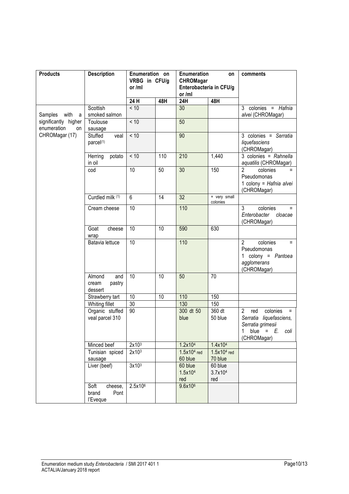| <b>Products</b>                           | <b>Description</b>                           | Enumeration on<br>VRBG in CFU/g<br>or/ml |                 | Enumeration<br><b>CHROMagar</b><br>Enterobacteria in CFU/g<br>or /ml | on                        | comments                                                                                                                |
|-------------------------------------------|----------------------------------------------|------------------------------------------|-----------------|----------------------------------------------------------------------|---------------------------|-------------------------------------------------------------------------------------------------------------------------|
|                                           |                                              | 24 H                                     | 48H             | 24H                                                                  | 48H                       |                                                                                                                         |
| with<br>Samples<br>a                      | Scottish<br>smoked salmon                    | < 10                                     |                 | 30                                                                   |                           | 3 colonies = Hafnia<br>alvei (CHROMagar)                                                                                |
| significantly higher<br>enumeration<br>on | Toulouse<br>sausage                          | < 10                                     |                 | 50                                                                   |                           |                                                                                                                         |
| CHROMagar (17)                            | Stuffed<br>veal<br>parcel(1)                 | < 10                                     |                 | 90                                                                   |                           | 3 colonies = Serratia<br>liquefasciens<br>(CHROMagar)                                                                   |
|                                           | Herring<br>potato<br>in oil                  | < 10                                     | 110             | 210                                                                  | 1,440                     | 3 colonies = Rahnella<br>aquatilis (CHROMagar)                                                                          |
|                                           | cod                                          | $\overline{10}$                          | 50              | $\overline{30}$                                                      | 150                       | $\overline{2}$<br>colonies<br>Pseudomonas<br>1 colony = Hafnia alvei<br>(CHROMagar)                                     |
|                                           | Curdled milk (1)                             | 6                                        | 14              | 32                                                                   | + very small<br>colonies  |                                                                                                                         |
|                                           | Cream cheese                                 | 10                                       |                 | 110                                                                  |                           | 3<br>colonies<br>$=$<br>Enterobacter<br>cloacae<br>(CHROMagar)                                                          |
|                                           | Goat<br>cheese<br>wrap                       | 10                                       | 10              | 590                                                                  | 630                       |                                                                                                                         |
|                                           | Batavia lettuce                              | 10                                       |                 | 110                                                                  |                           | $\overline{2}$<br>colonies<br>$=$<br>Pseudomonas<br>1 colony = Pantoea<br>agglomerans<br>(CHROMagar)                    |
|                                           | Almond<br>and<br>pastry<br>cream<br>dessert  | 10                                       | $\overline{10}$ | 50                                                                   | 70                        |                                                                                                                         |
|                                           | Strawberry tart                              | 10                                       | 10              | 110                                                                  | 150                       |                                                                                                                         |
|                                           | Whiting fillet                               | $\overline{30}$                          |                 | 130                                                                  | 150                       |                                                                                                                         |
|                                           | Organic stuffed<br>veal parcel 310           | 90                                       |                 | 300 dt 50<br>blue                                                    | 360 dt<br>50 blue         | $\overline{2}$<br>red<br>colonies<br>Serratia liquefasciens,<br>Serratia grimesii<br>1 blue = $E$ , coli<br>(CHROMagar) |
|                                           | Minced beef                                  | 2x10 <sup>3</sup>                        |                 | 1.2x10 <sup>4</sup>                                                  | 1.4x104                   |                                                                                                                         |
|                                           | Tunisian spiced<br>sausage                   | 2x10 <sup>3</sup>                        |                 | $1.5x104$ red<br>60 blue                                             | $1.5x104$ red<br>70 blue  |                                                                                                                         |
|                                           | Liver (beef)                                 | 3x10 <sup>3</sup>                        |                 | 60 blue<br>1.5x104<br>red                                            | 60 blue<br>3.7x104<br>red |                                                                                                                         |
|                                           | cheese,<br>Soft<br>brand<br>Pont<br>l'Eveque | 2.5x106                                  |                 | 9.6x10 <sup>6</sup>                                                  |                           |                                                                                                                         |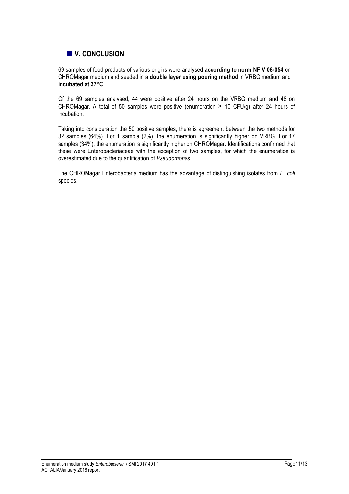# ! **V. CONCLUSION**

69 samples of food products of various origins were analysed **according to norm NF V 08-054** on CHROMagar medium and seeded in a **double layer using pouring method** in VRBG medium and **incubated at 37°C**.

Of the 69 samples analysed, 44 were positive after 24 hours on the VRBG medium and 48 on CHROMagar. A total of 50 samples were positive (enumeration  $\geq$  10 CFU/g) after 24 hours of incubation.

Taking into consideration the 50 positive samples, there is agreement between the two methods for 32 samples (64%). For 1 sample (2%), the enumeration is significantly higher on VRBG. For 17 samples (34%), the enumeration is significantly higher on CHROMagar. Identifications confirmed that these were Enterobacteriaceae with the exception of two samples, for which the enumeration is overestimated due to the quantification of *Pseudomonas*.

The CHROMagar Enterobacteria medium has the advantage of distinguishing isolates from *E. coli* species.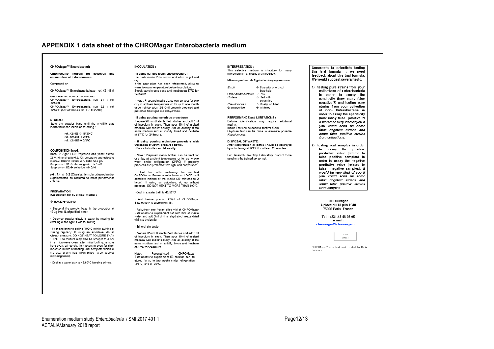### **APPENDIX 1 data sheet of the CHROMagar Enterobacteria medium**

### CHROMagar™ Enterobacteria

Chromogenic medium for detection and enumeration of Enterobacteria

#### Composed by :

CHROMagar™ Enterobacteria base: ref. X214B-5

ONLY FOR THE BOTTLE TECHNIQUE :<br>CHROMagar™ Enterobacteria sup S1 : ref. **Y21451** CHROMagar™ Enterobacteria sup S2 : ref. X214S2 (box of 10 vials ref. X214S2-500)

#### STORAGE-

Store the powder base until the shelflife date indicated on the labels as following:

> ref X214R → 15/30°C ref.  $X214S1 \rightarrow 2/8$ °C ref. X214S2-> 2/8°C

#### COMPOSITION in g/L :

 $Base \rightarrow Agar 11.0$ ; Peptones and yeast extract 22.0; Mineral salts 4.9; Chromogenic and selective mix 0.7; Growth factors 3.7. Total 42.3 g/L Supplement S1 → chromogenic mix 1ml/L Supplement S2 → selective mix 0.01

pH : 7.4 +/- 0.2 (Classical formula adjusted and/or supplemented as required to meet performance critorial

PREPARATION Calculation for 1L of final media) :

 $\rightarrow$  RASE ref X214R

· Suspend the powder base in the proportion of 42.3g into 1L of purified water.

- Disperse powder slowly in water by rotating for swelling of the agar. Swirl for mixing.

- Heat and bring to boiling (100°C) while awirling or stirring regularly. If using an autoclave, do so without pressure. DO NOT HEAT TO MORE THAN 100°C. The mixture may also be brought to a boil in a microwave oven: after initial boiling, remove from oven, stir gently, then return to oven for short repeated bursts of heating until complete fusion of the agar grains has taken place (large bubbles replacing foam).

- Cool in a water bath to 45/50°C keeping stirring.

### **INOCULATION**

· If using surface technique procedure: Pour into sterile Petri dishes and allow to gel and

ury.<br>If the ener niete hee heen refringreted allow to warm to room temperature before inoculation Streak sample onto plate and incubate at 37°C for 24 hours

. Note : Prepared media plates can be kept for one day at ambient temperature or for up to one month under refrigeration (2/8°C) if properly prepared and protected from light and dehydration.

- If using pouring technique procedure: Prepare 90mm Ø sterile Petri dishes and add 1ml of inoculum in each. Then pour 10ml of melted medium. Mix and let solidify. Add an overlay of the same medium and let solidify. Invert and incubate at 37°C for 24 hours.

If using pouring technique procedure with<br>utilisation of 250ml prepared bottle: - Pour into bottles and let solidify.

. Note: Prepared media bottles can be kept for one day at ambient temperature or for up to one week under refrigeration (2/8°C) if properly prepared and protected from light and dehydration.

. Heat the bottle containing the solidified CHROMener Enternhectaria hees at 100°C until complete melting of the media (30 minutes to 2 hours). If using an autoclave, do so without<br>pressure DONOTHEATTOMORETHAN 100°C

• Cool in a water bath to 45/50°C.

- Add before pouring 250ul of CHROMagar Enterobacteria supplement S1

· Rehydrate one freeze dried vial of CHROMagar Enterobacteria supplement S2 with 6ml of sterile water and add 3ml of this rehydrated freeze dried vial into the bottle

### - Stir wall the bottle

- Prepare 90mm Ø sterile Petri dishes and add 1ml of inoculum in each. Then pour 10ml of melted medium. Mix and let solidify. Add an overlay of the same medium and let solidify. Invert and incubate at 37°C for 24 hours.

Note : Reconstituted CHROMagar<br>Enterobacteria supplement S2 solution can be stored for up to two weeks under refrigeration (2/8°C) and at -20°C.

#### **INTERPRETATION**

This selective medium is inhibitory for many microorganisms, mostly gram positive.

#### Microorganism  $\rightarrow$  Typical colony appearance

| E.coli                                  | $\rightarrow$ Blue with or without |
|-----------------------------------------|------------------------------------|
|                                         | blue halo                          |
| Other enterobacteria $\rightarrow$ Pink |                                    |
| Proteus                                 | $\rightarrow$ Red with             |
|                                         | swarming                           |
| Pseudomonas                             | $\rightarrow$ Mostly inhibited     |
| Gram positive                           | $\rightarrow$ Inhibited            |

PERFORMANCE and LIMITATIONS : Definite identification may require additional testing. Indole Test can be done to confirm E.coli. Oxydase test can be done to eliminate possible Peaudomonae

DISPOSAL OF WASTE -After interpretation all plates should be destroyed by autoclaving at 121°C for at least 20 minutes.

For Research Use Only, Laboratory product to be used only by trained personnel.

Comments to scientists testing this trial formula : we need feedback about this trial formula. We would suggest several tests:

1) testing pure strains from your collections of Enterobacteria in order to assay the sensitivity (how many false negative ?) and testing pure strains from your collection of non. Enterobacteria in order to assay the specificity (how many false positive ?) It would be very kind of you if you could send us some *false negative strains and* some false positive strains from collections.

2) testing real samples in order to assay the positive predictive value (related to false nositive samples) in order to assay the negative predictive value (related to false negative samples). It would be very kind of you if vou could send us some false negative strains and some false positive strains from samples.

> CHROMagar 4 place du 18 juin 1940 75006 Paris France

Tel.: +331-45 48 05 05 e-mail:

### chromagar@chromagar.com



CHROMager<sup>ne</sup> is a trademark created by Dr. A. Rambach